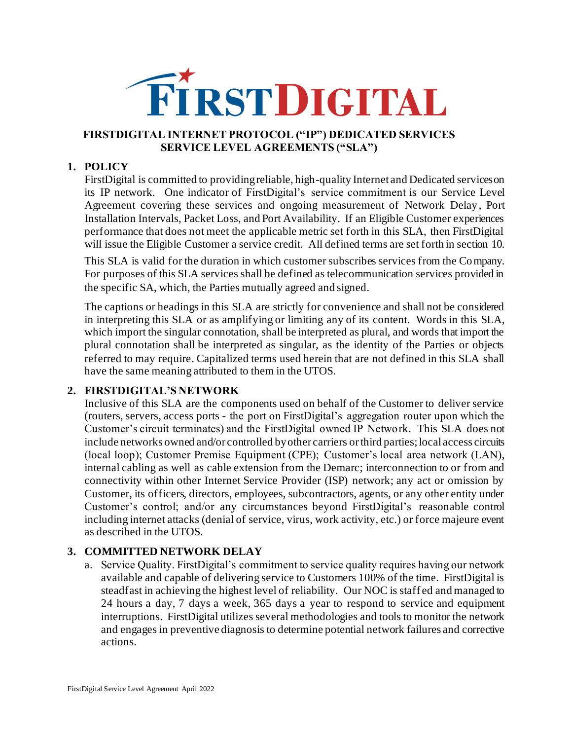

#### **FIRSTDIGITAL INTERNET PROTOCOL ("IP") DEDICATED SERVICES SERVICE LEVEL AGREEMENTS ("SLA")**

#### **1. POLICY**

FirstDigital is committed to providing reliable, high-quality Internet and Dedicated services on its IP network. One indicator of FirstDigital's service commitment is our Service Level Agreement covering these services and ongoing measurement of Network Delay, Port Installation Intervals, Packet Loss, and Port Availability. If an Eligible Customer experiences performance that does not meet the applicable metric set forth in this SLA, then FirstDigital will issue the Eligible Customer a service credit. All defined terms are set forth in section 10.

This SLA is valid for the duration in which customer subscribes services from the Company. For purposes of this SLA services shall be defined as telecommunication services provided in the specific SA, which, the Parties mutually agreed and signed.

The captions or headings in this SLA are strictly for convenience and shall not be considered in interpreting this SLA or as amplifying or limiting any of its content. Words in this SLA, which import the singular connotation, shall be interpreted as plural, and words that import the plural connotation shall be interpreted as singular, as the identity of the Parties or objects referred to may require. Capitalized terms used herein that are not defined in this SLA shall have the same meaning attributed to them in the UTOS.

#### **2. FIRSTDIGITAL'S NETWORK**

Inclusive of this SLA are the components used on behalf of the Customer to deliver service (routers, servers, access ports - the port on FirstDigital's aggregation router upon which the Customer's circuit terminates) and the FirstDigital owned IP Network. This SLA does not include networks owned and/or controlled by other carriers or third parties; local access circuits (local loop); Customer Premise Equipment (CPE); Customer's local area network (LAN), internal cabling as well as cable extension from the Demarc; interconnection to or from and connectivity within other Internet Service Provider (ISP) network; any act or omission by Customer, its officers, directors, employees, subcontractors, agents, or any other entity under Customer's control; and/or any circumstances beyond FirstDigital's reasonable control including internet attacks (denial of service, virus, work activity, etc.) or force majeure event as described in the UTOS.

### **3. COMMITTED NETWORK DELAY**

a. Service Quality. FirstDigital's commitment to service quality requires having our network available and capable of delivering service to Customers 100% of the time. FirstDigital is steadfast in achieving the highest level of reliability. Our NOC is staff ed and managed to 24 hours a day, 7 days a week, 365 days a year to respond to service and equipment interruptions. FirstDigital utilizes several methodologies and tools to monitor the network and engages in preventive diagnosis to determine potential network failures and corrective actions.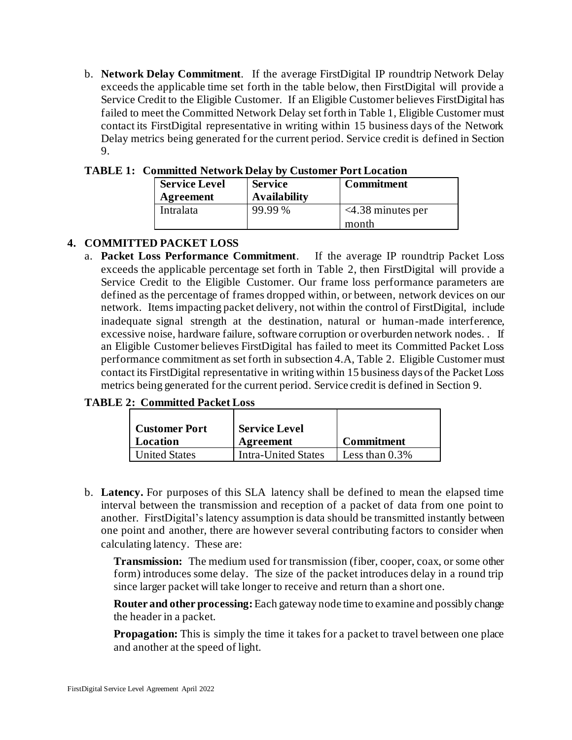b. **Network Delay Commitment**. If the average FirstDigital IP roundtrip Network Delay exceeds the applicable time set forth in the table below, then FirstDigital will provide a Service Credit to the Eligible Customer. If an Eligible Customer believes FirstDigital has failed to meet the Committed Network Delay set forth in Table 1, Eligible Customer must contact its FirstDigital representative in writing within 15 business days of the Network Delay metrics being generated for the current period. Service credit is defined in Section 9.

| <b>Service Level</b><br>Agreement | <b>Service</b><br><b>Availability</b> | <b>Commitment</b>                |
|-----------------------------------|---------------------------------------|----------------------------------|
| Intralata                         | 99.99 %                               | $\leq$ 4.38 minutes per<br>month |

#### **TABLE 1: Committed Network Delay by Customer Port Location**

### **4. COMMITTED PACKET LOSS**

a. **Packet Loss Performance Commitment**. If the average IP roundtrip Packet Loss exceeds the applicable percentage set forth in Table 2, then FirstDigital will provide a Service Credit to the Eligible Customer. Our frame loss performance parameters are defined as the percentage of frames dropped within, or between, network devices on our network. Items impacting packet delivery, not within the control of FirstDigital, include inadequate signal strength at the destination, natural or human-made interference, excessive noise, hardware failure, software corruption or overburden network nodes. . If an Eligible Customer believes FirstDigital has failed to meet its Committed Packet Loss performance commitment as set forth in subsection 4.A, Table 2. Eligible Customer must contact its FirstDigital representative in writing within 15 business days of the Packet Loss metrics being generated for the current period. Service credit is defined in Section 9.

#### **TABLE 2: Committed Packet Loss**

| <b>Customer Port</b> | <b>Service Level</b>       |                   |
|----------------------|----------------------------|-------------------|
| Location             | <b>Agreement</b>           | <b>Commitment</b> |
| <b>United States</b> | <b>Intra-United States</b> | Less than $0.3\%$ |

b. **Latency.** For purposes of this SLA latency shall be defined to mean the elapsed time interval between the transmission and reception of a packet of data from one point to another. FirstDigital's latency assumption is data should be transmitted instantly between one point and another, there are however several contributing factors to consider when calculating latency. These are:

**Transmission:** The medium used for transmission (fiber, cooper, coax, or some other form) introduces some delay. The size of the packet introduces delay in a round trip since larger packet will take longer to receive and return than a short one.

**Router and other processing:**Each gateway node time to examine and possibly change the header in a packet.

**Propagation:** This is simply the time it takes for a packet to travel between one place and another at the speed of light.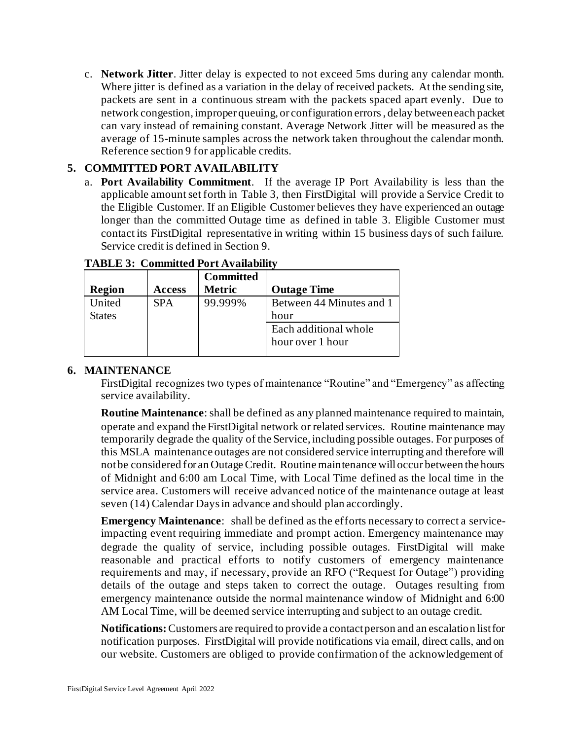c. **Network Jitter**. Jitter delay is expected to not exceed 5ms during any calendar month. Where jitter is defined as a variation in the delay of received packets. At the sending site, packets are sent in a continuous stream with the packets spaced apart evenly. Due to network congestion, improper queuing, or configuration errors, delay between each packet can vary instead of remaining constant. Average Network Jitter will be measured as the average of 15-minute samples across the network taken throughout the calendar month. Reference section 9 for applicable credits.

### **5. COMMITTED PORT AVAILABILITY**

a. **Port Availability Commitment**. If the average IP Port Availability is less than the applicable amount set forth in Table 3, then FirstDigital will provide a Service Credit to the Eligible Customer. If an Eligible Customer believes they have experienced an outage longer than the committed Outage time as defined in table 3. Eligible Customer must contact its FirstDigital representative in writing within 15 business days of such failure. Service credit is defined in Section 9.

| <b>Region</b>           | <b>Access</b> | <b>Committed</b><br><b>Metric</b> | <b>Outage Time</b>                        |
|-------------------------|---------------|-----------------------------------|-------------------------------------------|
| United<br><b>States</b> | <b>SPA</b>    | 99.999%                           | Between 44 Minutes and 1<br>hour          |
|                         |               |                                   | Each additional whole<br>hour over 1 hour |

### **TABLE 3: Committed Port Availability**

### **6. MAINTENANCE**

FirstDigital recognizes two types of maintenance "Routine" and "Emergency" as affecting service availability.

**Routine Maintenance**: shall be defined as any planned maintenance required to maintain, operate and expand the FirstDigital network or related services. Routine maintenance may temporarily degrade the quality of the Service, including possible outages. For purposes of this MSLA maintenance outages are not considered service interrupting and therefore will not be considered for an Outage Credit. Routine maintenance will occur between the hours of Midnight and 6:00 am Local Time, with Local Time defined as the local time in the service area. Customers will receive advanced notice of the maintenance outage at least seven (14) Calendar Days in advance and should plan accordingly.

**Emergency Maintenance**: shall be defined as the efforts necessary to correct a serviceimpacting event requiring immediate and prompt action. Emergency maintenance may degrade the quality of service, including possible outages. FirstDigital will make reasonable and practical efforts to notify customers of emergency maintenance requirements and may, if necessary, provide an RFO ("Request for Outage") providing details of the outage and steps taken to correct the outage. Outages resulting from emergency maintenance outside the normal maintenance window of Midnight and 6:00 AM Local Time, will be deemed service interrupting and subject to an outage credit.

**Notifications:** Customers are required to provide a contact person and an escalation list for notification purposes. FirstDigital will provide notifications via email, direct calls, and on our website. Customers are obliged to provide confirmation of the acknowledgement of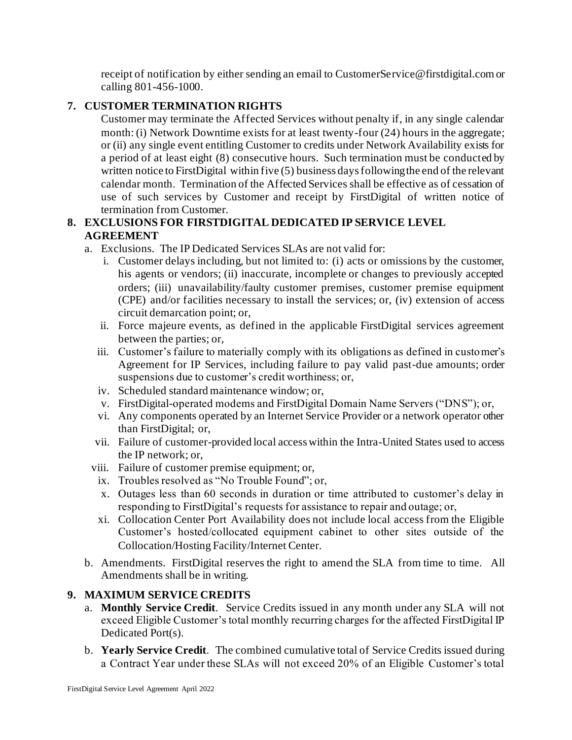receipt of notification by either sending an email to CustomerService@firstdigital.com or calling 801-456-1000.

# **7. CUSTOMER TERMINATION RIGHTS**

Customer may terminate the Affected Services without penalty if, in any single calendar month: (i) Network Downtime exists for at least twenty-four (24) hours in the aggregate; or (ii) any single event entitling Customer to credits under Network Availability exists for a period of at least eight (8) consecutive hours. Such termination must be conducted by written notice to FirstDigital within five (5) business days following the end of the relevant calendar month. Termination of the Affected Services shall be effective as of cessation of use of such services by Customer and receipt by FirstDigital of written notice of termination from Customer.

# **8. EXCLUSIONS FOR FIRSTDIGITAL DEDICATED IP SERVICE LEVEL AGREEMENT**

- a. Exclusions. The IP Dedicated Services SLAs are not valid for:
	- i. Customer delays including, but not limited to: (i) acts or omissions by the customer, his agents or vendors; (ii) inaccurate, incomplete or changes to previously accepted orders; (iii) unavailability/faulty customer premises, customer premise equipment (CPE) and/or facilities necessary to install the services; or, (iv) extension of access circuit demarcation point; or,
	- ii. Force majeure events, as defined in the applicable FirstDigital services agreement between the parties; or,
	- iii. Customer's failure to materially comply with its obligations as defined in customer's Agreement for IP Services, including failure to pay valid past-due amounts; order suspensions due to customer's credit worthiness; or,
	- iv. Scheduled standard maintenance window; or,
	- v. FirstDigital-operated modems and FirstDigital Domain Name Servers ("DNS"); or,
	- vi. Any components operated by an Internet Service Provider or a network operator other than FirstDigital; or,
	- vii. Failure of customer-provided local access within the Intra-United States used to access the IP network; or,
	- viii. Failure of customer premise equipment; or,
	- ix. Troubles resolved as "No Trouble Found"; or,
	- x. Outages less than 60 seconds in duration or time attributed to customer's delay in responding to FirstDigital's requests for assistance to repair and outage; or,
	- xi. Collocation Center Port Availability does not include local access from the Eligible Customer's hosted/collocated equipment cabinet to other sites outside of the Collocation/Hosting Facility/Internet Center.
- b. Amendments. FirstDigital reserves the right to amend the SLA from time to time. All Amendments shall be in writing.

# **9. MAXIMUM SERVICE CREDITS**

- a. **Monthly Service Credit**. Service Credits issued in any month under any SLA will not exceed Eligible Customer's total monthly recurring charges for the affected FirstDigital IP Dedicated Port(s).
- b. **Yearly Service Credit**. The combined cumulative total of Service Credits issued during a Contract Year under these SLAs will not exceed 20% of an Eligible Customer's total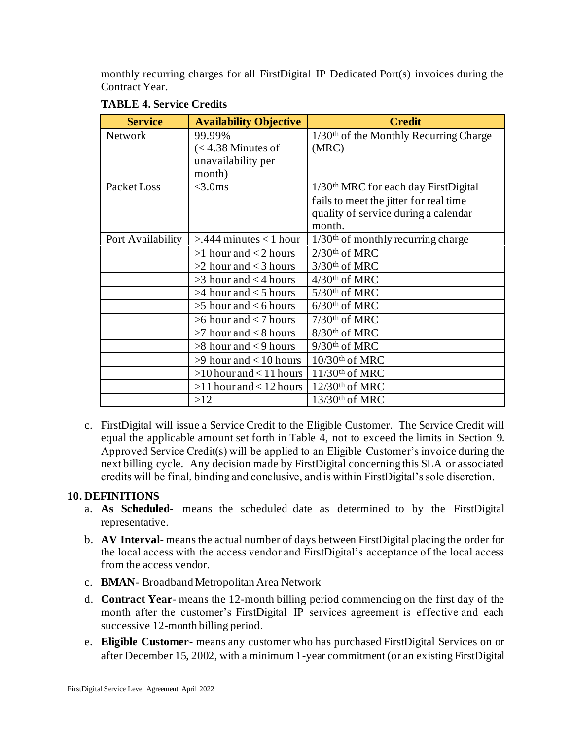monthly recurring charges for all FirstDigital IP Dedicated Port(s) invoices during the Contract Year.

| <b>Service</b>    | <b>Availability Objective</b> | <b>Credit</b>                                        |
|-------------------|-------------------------------|------------------------------------------------------|
| <b>Network</b>    | 99.99%                        | $1/30$ <sup>th</sup> of the Monthly Recurring Charge |
|                   | $(< 4.38$ Minutes of          | (MRC)                                                |
|                   | unavailability per            |                                                      |
|                   | month)                        |                                                      |
| Packet Loss       | $<$ 3.0ms                     | 1/30 <sup>th</sup> MRC for each day FirstDigital     |
|                   |                               | fails to meet the jitter for real time               |
|                   |                               | quality of service during a calendar                 |
|                   |                               | month.                                               |
| Port Availability | $>444$ minutes < 1 hour       | $1/30$ <sup>th</sup> of monthly recurring charge     |
|                   | $>1$ hour and $<$ 2 hours     | $2/30$ <sup>th</sup> of MRC                          |
|                   | $>2$ hour and $<$ 3 hours     | $3/30$ <sup>th</sup> of MRC                          |
|                   | $>3$ hour and $<$ 4 hours     | $4/30$ <sup>th</sup> of MRC                          |
|                   | $>4$ hour and $<$ 5 hours     | $5/30$ <sup>th</sup> of MRC                          |
|                   | $>5$ hour and $< 6$ hours     | $6/30$ <sup>th</sup> of MRC                          |
|                   | $>6$ hour and $<$ 7 hours     | 7/30th of MRC                                        |
|                   | $>7$ hour and $< 8$ hours     | 8/30th of MRC                                        |
|                   | $>8$ hour and $<$ 9 hours     | $9/30$ <sup>th</sup> of MRC                          |
|                   | $>9$ hour and $< 10$ hours    | $10/30$ <sup>th</sup> of MRC                         |
|                   | $>10$ hour and < 11 hours     | $11/30$ <sup>th</sup> of MRC                         |
|                   | $>11$ hour and < 12 hours     | $12/30$ <sup>th</sup> of MRC                         |
|                   | >12                           | $13/30$ <sup>th</sup> of MRC                         |

#### **TABLE 4. Service Credits**

c. FirstDigital will issue a Service Credit to the Eligible Customer. The Service Credit will equal the applicable amount set forth in Table 4, not to exceed the limits in Section 9. Approved Service Credit(s) will be applied to an Eligible Customer's invoice during the next billing cycle. Any decision made by FirstDigital concerning this SLA or associated credits will be final, binding and conclusive, and is within FirstDigital's sole discretion.

# **10. DEFINITIONS**

- a. **As Scheduled** means the scheduled date as determined to by the FirstDigital representative.
- b. **AV Interval** means the actual number of days between FirstDigital placing the order for the local access with the access vendor and FirstDigital's acceptance of the local access from the access vendor.
- c. **BMAN** Broadband Metropolitan Area Network
- d. **Contract Year** means the 12-month billing period commencing on the first day of the month after the customer's FirstDigital IP services agreement is effective and each successive 12-month billing period.
- e. **Eligible Customer** means any customer who has purchased FirstDigital Services on or after December 15, 2002, with a minimum 1-year commitment (or an existing FirstDigital